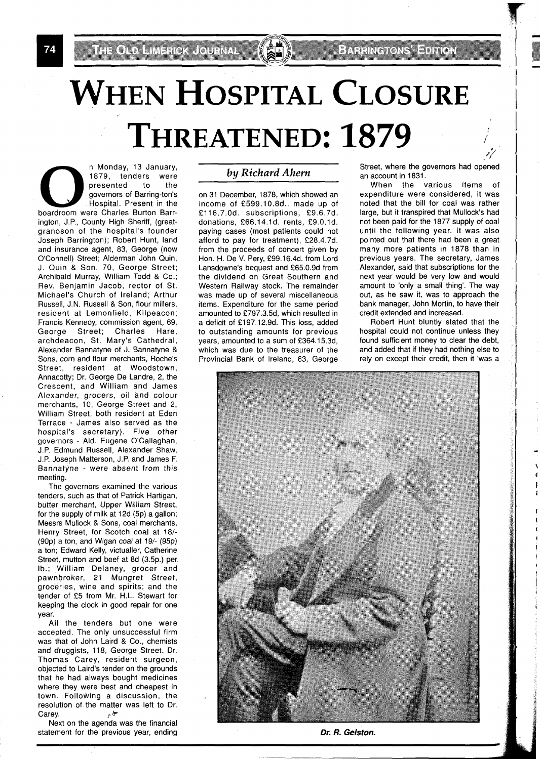74

# **WHEN HOSPITAL CLOSURE THREATENED: 1879**

n Monday, 13 January, 1879, tenders were presented to the governors of Barring-ton's Hospital. Present in the boardroom were Charles Burton Barrington, J.P., County High Sheriff, (greatgrandson of the hospital's founder Joseph Barrington); Robert Hunt, land and insurance agent, 83, George (now O'Connell) Street; Alderman John Quin, J. Quin & Son, 70, George Street; Archibald Murray, William Todd & Co.; Rev. Benjamin Jacob, rector of St. Michael's Church of Ireland; Arthur Russell, J.N. Russell & Son, flour millers, resident at Lemonfield, Kilpeacon; Francis Kennedy, commission agent, 69, George Street; Charles Hare, archdeacon, St. Mary's Cathedral, Alexander Bannatyne of J. Bannatyne & Sons, corn and flour merchants, Roche's Street, resident at Woodstown, Annacotty; Dr. George De Landre, 2, the Crescent, and William and James Alexander, grocers, oil and colour merchants, 10, George Street and 2, William Street, both resident at Eden Terrace - James also served as the hospital's secretary). Five other governors - Ald. Eugene O'Callaghan, J.P. Edmund Russell, Alexander Shaw, J.P. Joseph Matterson, J.P. and James F. Bannatyne - were absent from this meeting.

The governors examined the various tenders, such as that of Patrick Hartigan, butter merchant, Upper William Street, for the supply of milk at 12d (5p) a gallon; Messrs Mullock & Sons, coal merchants, Henry Street, for Scotch coal at 181- (90p) a ton, and Wigan coal at 19/- (95p) a ton; Edward Kelly, victualler, Catherine Street, mutton and beef at 8d (3.5p.) per lb.; William Delaney, grocer and pawnbroker, 21 Mungret Street, groceries, wine and spirits; and the tender of £5 from Mr. H.L. Stewart for keeping the clock in good repair for one year.

All the tenders but one were accepted. The only unsuccessful firm was that of John Laird & Co., chemists and druggists, 118, George Street. Dr. Thomas Carey, resident surgeon, objected to Laird's tender on the grounds that he had always bought medicines where they were best and cheapest in town. Following a discussion, the resolution of the matter was left to Dr. Carey.  $\qquad \qquad \star$ 

Next on the agenda was the financial statement for the previous year, ending

#### **by** *Richard Ahem*

on 31 December, 1878, which showed an income of f599.10.8d., made up of £116.7.0d. subscriptions, £9.6.7d. donations, £66.14.1d. rents, £9.0.1d. paying cases (most patients could not afford to pay for treatment), £28.4.7d. from the proceeds of concert given by Hon. H. De V. Pery, £99.16.4d. from Lord Lansdowne's bequest and £65.0.9d from the dividend on Great Southern and Western Railway stock. The remainder was made up of several miscellaneous items. Expenditure for the same period amounted to £797.3.5d, which resulted in a deficit of £197.12.9d. This loss, added to outstanding amounts for previous years, amounted to a sum of £364.15.3d, which was due to the treasurer of the Provincial Bank of Ireland, 63, George Street, where the governors had opened an account in 1831.

, . *Jr'* 

When the various items of expenditure were considered, it was noted that the bill for coal was rather large, but it transpired that Mullock's had not been paid for the 1877 supply of coal until the following year. It was also pointed out that there had been a great many more patients in 1878 than in previous years. The secretary, James Alexander, said that subscriptions for the next year would be very low and would amount to 'only a small thing'. The way out, as he saw it, was to approach the bank manager, John Mortin, to have their credit extended and increased.

Robert Hunt bluntly stated that the hospital could not continue unless they found sufficient money to clear the debt, and added that if they had nothing else to rely on except their credit, then it 'was a



**Dr. R. Gelston.**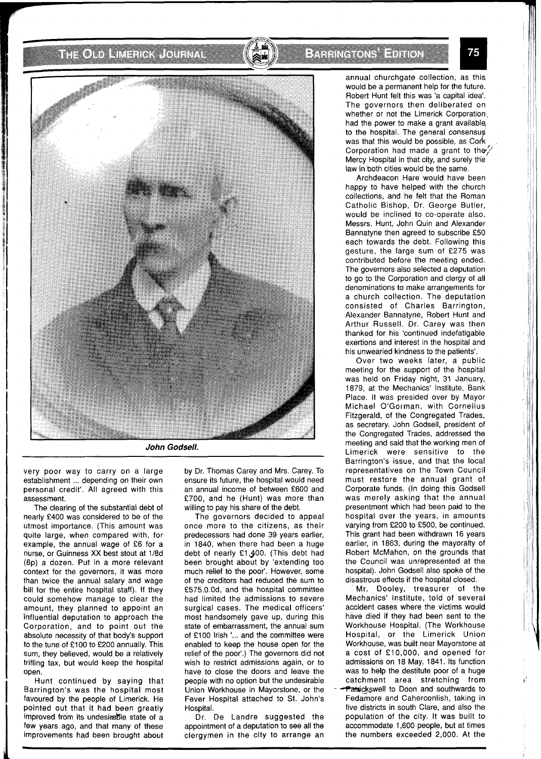### THE ONLY HUSE REPORTED HIS VIOLENCE.



very poor way to carry on a large establishment ... depending on their own personal credit'. All agreed with this assessment.

The clearing of the substantial debt of nearly £400 was considered to be of the utmost importance. (This amount was quite large, when compared with, for example, the annual wage of £6 for a nurse, or Guinness XX best stout at 1/8d (8p) a dozen. Put in a more relevant context for the governors, it was more than twice the annual salary and wage bill for the entire hospital staff). If they could somehow manage to clear the amount, they planned to appoint an Influential deputation to approach the Corporation, and to point out the absolute necessity of that body's support to the tune of £100 to £200 annually. This sum, they believed, would be a relatively trifling tax, but would keep the hospital open.

Hunt continued by saying that Barrington's was the hospital most favoured by the people of Limerick. He pointed out that it had been greatly improved from its undesimable state of a few years ago, and that many of these improvements had been brought about

by Dr. Thomas Carey and Mrs. Carey. To ensure its future, the hospital would need an annual income of between £600 and £700, and he (Hunt) was more than willing to pay his share of the debt.

The governors decided to appeal once more to the citizens, as their predecessors had done 39 years earlier, in 1840, when there had been a huge debt of nearly £1,400. (This debt had been brought about by 'extending too much relief to the poor'. However, some of the creditors had reduced the sum to £575.0.0d, and the hospital committee had limited the admissions to severe surgical cases. The medical officers' most handsomely gave up, during this state of embarrassment, the annual sum of £100 Irish **l...** and the committee were enabled to keep the house open for the relief of the poor'.) The governors did not wish to restrict admissions again, or to have to close the doors and leave the people with no option but the undesirable Union Workhouse in Mayorstone, or the Fever Hospital attached to St. John's Hospital.

Dr. De Landre suggested the appointment of a deputation to see all the clergymen in the city to arrange an annual churchgate collection, as this would be a permanent help for the future. Robert Hunt felt this was 'a capital idea'. The governors then deliberated on whether or not the Limerick Corporation had the power to make a grant available, to the hospital. The general consensus was that this would be possible, as Cork Corporation had made a grant to the Mercy Hospital in that city, and surely th'e law in both cities would be the same.

Archdeacon Hare would have been happy to have helped with the church collections, and he felt that the Roman Catholic Bishop, Dr. George Butler, would be inclined to co-operate also. Messrs. Hunt, John Quin and Alexander Bannatyne then agreed to subscribe £50 each towards the debt. Following this gesture, the large sum of £275 was contributed before the meeting ended. The governors also selected a deputation to go to the Corporation and clergy of all denominations to make arrangements for a church collection. The deputation consisted of Charles Barrington, Alexander Bannatyne, Robert Hunt and Arthur Russell. Dr. Carey was then thanked for his 'continued indefatigable exertions and interest in the hospital and his unwearied kindness to the patients'.

Over two weeks later, a public meeting for the support of the hospital was held on Friday night, 31 January, 1879, at the Mechanics' Institute, Bank Place. It was presided over by Mayor Michael O'Gorman, with Cornelius Fitzgerald, of the Congregated Trades, as secretary. John Godsell, president of the Congregated Trades, addressed the meeting and said that the working men of Limerick were sensitive to the Barrington's issue, and that the local representatives on the Town Council must restore the annual grant of Corporate funds. (In doing this Godsell was merely asking that the annual presentment which had been paid to the hospital over the years, in amounts varying from £200 to £500, be continued. This grant had been withdrawn 16 years earlier, in 1863, during the mayoralty of Robert McMahon, on the grounds that the Council was unrepresented at the hospital). John Godsell also spoke of the disastrous effects if the hospital closed.

Mr. Dooley, treasurer of the Mechanics' Institute, told of several accident cases where the victims would have died if they had been sent to the Workhouse Hospital. (The Workhouse Hospital, or the Limerick Union Workhouse, was built near Mayorstone at a cost of £10,000, and opened for admissions on 18 May, 1841. Its function was to help the destitute poor of a huge catchment area stretching from Patrickswell to Doon and southwards to Fedamore and Caherconlish, taking in five districts in south Clare, and also the population of the city. It was built to accommodate 1,600 people, but at times the numbers exceeded 2,000. At the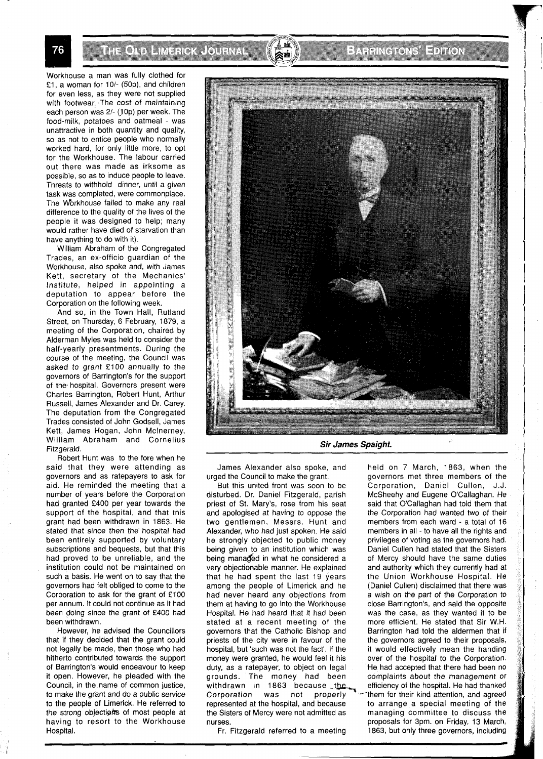**THE CAPTER HER COURSE** 

Workhouse a man was fully clothed for £1, a woman for 10/- (50p), and children for even less, as they were not supplied with footwear. The cost of maintaining each person was 2/- (10p) per week. The food-milk, potatoes and oatmeal - was unattractive in both quantity and quality, so as not to entice people who normally worked hard, for only little more, to opt for the Workhouse. The labour carried out there was made as irksome as possible, so as to induce people to leave. Threats to withhold dinner, until a given task was completed, were commonplace. The Workhouse failed to make any real difference to the quality of the lives of the people it mas designed to help; many would rather have died of starvation than have anything to do with it).

William Abraham of the Congregated Trades, an ex-officio guardian of the Workhouse, also spoke and, with James Kett, secretary of the Mechanics' Institute, helped in appointing a deputation to appear before the Corporation on the following week.

And so, in the Town Hall, Rutland Street, on Thursday, 6 February, 1879, a meeting of the Corporation, chaired by Alderman Myles was held to consider the half-yearly presentments. During the course of the meeting, the Council was asked to grant £100 annually to the governors of Barrington's for the support of the hospital. Governors present were Charles Barrington, Robert Hunt, Arthur Russell, James Alexander and Dr. Carey. The deputation from the Congregated Trades consisted of John Godsell, James Kett, James Hogan, John Mclnerney, William Abraham and Cornelius Fitzgerald.

Robert Hunt was to the fore when he said that they were attending as governors and as ratepayers to ask for aid. He reminded the meeting that a number of years before the Corporation had granted £400 per year towards the support of the hospital, and that this grant had been withdrawn in 1863. He stated that since then the hospital had been entirely supported by voluntary subscriptions and bequests, but that this had proved to be unreliable, and the institution could not be maintained on such a basis. He went on to say that the governors had felt obliged to come to the Corporation to ask for the grant of £100 per annum. It could not continue as it had been doing since the grant of £400 had been withdrawn.

However, he advised the Councillors that if they decided that the grant could not legally be made, then those who had hitherto contributed towards the support of Barrington's would endeavour to keep it open. However, he pleaded with the Council, in the name of common justice, to make the grant and do a public service to the people of Limerick. He referred to the strong objections of most people at having to resort to the Workhouse Hospital.



James Alexander also spoke, and held on 7 March, 1863, when the

But this united front was soon to be Corporation, Daniel Cullen, J.J. disturbed. Dr. Daniel Fitzgerald, parish McSheehy and Eugene O'Callaghan. He disturbed. Dr. Daniel Fitzgerald, parish McSheehy and Eugene O'Callaghan. He priest of St. Mary's, rose from his seat said that O'Callaghan had told them that and apologised at having to oppose the the Corporation had wanted two of their<br>two gentlemen, Messrs. Hunt and members from each ward - a total of 16 two gentlemen, Messrs. Hunt and Alexander, who had just spoken. He said members in all - to have all the rights and he strongly objected to public money privileges of voting as the governors had. he strongly objected to public money being given to an institution which was Daniel Cullen had stated that the Sisters<br>being managed in what he considered a constructed being have the same duties very objectionable manner. He explained and authority which they currently had at that he had spent the last 19 years the Union Workhouse Hospital. He among the people of Limerick and he  $\frac{1}{2}$  (Daniel Cullen) disclaimed that there was among the people of Limerick and he had never heard any objections from a wish on the part of the Corporation to them at having to go into the Workhouse close Barrington's, and said the opposite<br>Hospital. He had heard that it had been was the case, as they wanted it to be stated at a recent meeting of the more efficient. He stated that Sir W.H. governors that the Catholic Bishop and Barrington had told the aldermen that if priests of the city were in favour of the the governors agreed to their proposals, hospital, but such was not the fact'. If the it would effectively mean the handing money were granted, he would feel it his over of the hospital to the Corporation. duty, as a ratepayer, to object on legal . The had accepted that there had been no<br>grounds. The money had been complaints about the management or grounds. The money had been withdrawn in 1863 because the efficiency of the hospital. He had thanked Corporation was not properly  $\sim$  them for their kind attention, and agreed Corporation was not properly  $\sim$  them for their kind attention, and agreed represented at the hospital, and because to arrange a special meeting of the the Sisters of Mercy were not admitted as managing committee to discuss the

urged the Council to make the grant. governors met three members of the said that O'Callaghan had told them that of Mercy should have the same duties was the case, as they wanted it to be nurses.<br>Fr. Fitzgerald referred to a meeting and the solution on Friday, 13 March,<br>Fr. Fitzgerald referred to a meeting and the solution of three governors, including 1863, but only three governors, including

76

# **Extragalytical External**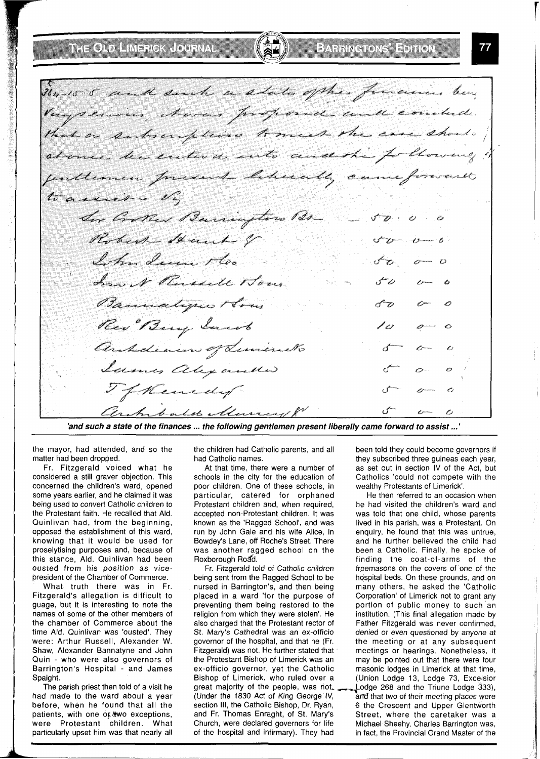# **THOLD HERROOM**

364-15-5 and such a state of the finances ben Veryservon, Awas proposed and conclude. that a subscription to meet the case should at once he entered anto and the following ! feuthemen present liberally came forward to assier . Vi Ser Corthed Bearington Dr  $\sqrt{2}$ Robert Stand of Ister decen Mo.  $\ell$ has N Russell Hour رم Bannatypes How Rev Berry Sarah P 0 anhdienen of Liminals Icemes alexander TfKenedy Clark bald Murrey &

**'and such a state of the finances** ... **the following gentlemen present liberally came forward to assist** ...'

the mayor, had attended, and so the matter had been dropped.

Fr. Fitzgerald voiced what he considered a still graver objection. This concerned the children's ward, opened some years earlier, and he claimed it was being used to convert Catholic children to the Protestant faith. He recalled that Ald. Quinlivan had, from the beginning, opposed the establishment of this ward, knowing that it would be used for proselytising purposes and, because of this stance, Ald. Quinlivan had been ousted from his position as vicepresident of the Chamber of Commerce.

What truth there was in Fr. Fitzgerald's allegation is difficult to guage, but it is interesting to note the names of some of the other members of the chamber of Commerce about the time Ald. Quinlivan was 'ousted'. They were: Arthur Russell, Alexander W. Shaw, Alexander Bannatyne and John Quin - who were also governors of Barrington's Hospital - and James Spaight.

The parish priest then told of a visit he had made to the ward about a year before, when he found that all the patients, with one of two exceptions, were Protestant children. What particularly upset him was that nearly all the children had Catholic parents, and all had Catholic names.

At that time, there were a number of schools in the city for the education of poor children. One of these schools, in particular, catered for orphaned Protestant children and, when required, accepted non-Protestant children. It was known as the 'Ragged School', and was run by John Gale and his wife Alice, in Bowdey's Lane, off Roche's Street. There was another ragged school on the Roxborough Road.

Fr. Fitzgerald told of Catholic children being sent from the Ragged School to be nursed in Barrington's, and then being placed in a ward 'for the purpose of preventing them being restored to the religion from which they were stolen'. He also charged that the Protestant rector of St. Mary's Cathedral was an ex-officio governor of the hospital, and that he (Fr. Fitzgerald) was not. He further stated that the Protestant Bishop of Limerick was an ex-officio governor, yet the Catholic Bishop of Limerick, who ruled over a great majority of the people, was not. (Under the 1830 Act of King George IV, and that two of their meeting places were section III, the Catholic Bishop, Dr. Ryan, 6 the Crescent and Upper Glentworth section III, the Catholic Bishop, Dr. Ryan, 6 the Crescent and Upper Glentworth and Fr. Thomas Enraght, of St. Mary's Street, where the caretaker was a and Fr. Thomas Enraght, of St. Mary's Street, where the caretaker was a Church, were declared governors for life Michael Sheehy. Charles Barrington was, Church, were declared governors for life Michael Sheehy. Charles Barrington was, of the hospital and infirmary). They had in fact, the Provincial Grand Master of the

been told they could become governors if they subscribed three guineas each year, as set out in section IV of the Act, but Catholics 'could not compete with the wealthy Protestants of Limerick'.

He then referred to an occasion when he had visited the children's ward and was told that one child, whose parents lived in his parish, was a Protestant. On enquiry, he found that this was untrue, and he further believed the child had been a Catholic. Finally, he spoke of finding the coat-of-arms of the freemasons on the covers of one of the hospital beds. On these grounds, and on many others, he asked the 'Catholic Corporation' of Limerick not to grant any portion of public money to such an institution. (This final allegation made by Father Fitzgerald was never confirmed, denied or even questioned by anyone at the meeting or at any subsequent meetings or hearings. Nonetheless, it may be pointed out that there were four masonic lodges in Limerick at that time, (Union Lodge 13, Lodge 73, Excelsior Lodge 268 and the Triune Lodge 333), in fact, the Provincial Grand Master of the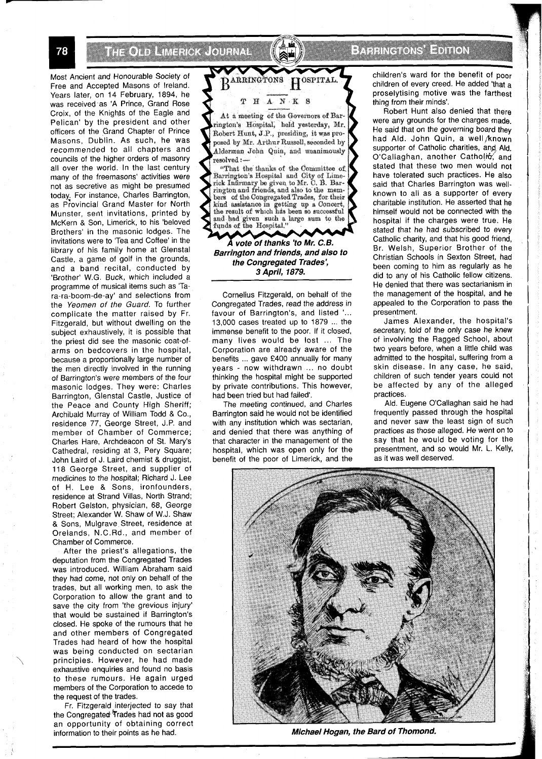n the order in the research of the second services of the service of the service of the service of the service

Most Ancient and Honourable Society of Free and Accepted Masons of Ireland. Years later, on 14 February, 1894, he was received as 'A Prince, Grand Rose Croix, of the Knighis of the Eagle and Pelican' by the president and other officers of the Grand Chapter of Prince Masons, Dublin. As such, he was recommended to all chapters and councils of the higher orders of masonry all over the world. In the last century many of the freemasons' activities were not as secretive as might be presumed today, For instance, Charles Barrington, as Provincial Grand Master for North Munster, sent invitations, printed by McKern & Son, Limerick, to his 'beloved Brothers' in the masonic lodges. The invitations were to 'Tea and Coffee' in the library of his family home at Glenstal Castle, a game of golf in the grounds, and a band recital, conducted by 'Brother' W.G. Buck, which included a programme of musical items such as 'Tara-ra-boom-de-ay' and selections from the Yeomen of the Guard. To further complicate the matter raised by Fr. Fitzgerald, but without dwelling on the subject exhaustively, it is possible that the priest did see the masonic coat-ofarms on bedcovers in the hospital, because a proportionally large number of the men directly involved in the running of Barrington's were members of the four masonic lodges. They were: Charles Barrington, Glenstal Castle, Justice of the Peace and County High Sheriff; Archibald Murray of William Todd & Co., residence 77, George Street, J.P. and member of Chamber of Commerce; Charles Hare, Archdeacon of St. Mary's Cathedral, residing at 3, Pery Square; John Laird of J. Laird chemist & druggist, 118 George Street, and supplier of medicines to the hospital; Richard J. Lee of H. Lee & Sons, ironfounders, residence at Strand Villas, North Strand; Robert Gelston, physician, 68, George Street; Alexander W. Shaw of W.J. Shaw & Sons, Mulgrave Street, residence at Orelands, N.C.Rd., and member of Chamber of Commerce.

After the priest's allegations, the deputation from the Congregated Trades was introduced. William Abraham said they had come, not only on behalf of the trades, but all working men, to ask the Corporation to allow the grant and to save the city from 'the grevious injury' that would be sustained if Barrington's closed. He spoke of the rumours that he and other members of Congregated Trades had heard of how the hospital was being conducted on sectarian<br>
principles. However, he had made<br>
opposition engulies and found to basis exhaustive enquiries and found no basis to these rumours. He again urged members of the Corporation to accede to the request of the trades.

Fr. Fitzgerald interjected to say that the Congregated Trades had not as good an opportunity of obtaining correct information to their points as he had.



At a meeting of the Governors of Barington's Hospital, held yesterday, Mr. Robert Hunt, J.P., presiding, it was proposed by Mr. Arthur Russell, seconded by Alderman John Quin, and unanimously resolved :-

"That the thanks of the Committee of Barrington's Hospital and City of Lime-<br>rick Infirmary be given to Mr. C. B. Barrington and friends, and also to the members of the Congregated Trades, for their kind assistance in getting up a Concert, the result of which has been so successful and had given such a large sum to the funds of the Hospital."

A vote of thanks 'to Mr. C.B. **Barrington and friends, and also to the Congregated Trades', 3 April, 1879.** 

Cornelius Fitzgerald, on behalf of the Congregated Trades, read the address in favour of Barrington's, and listed '... 13,000 cases treated up to 1879 ... the immense benefit to the poor. If it closed, many lives would be lost ... The Corporation are already aware of the benefits ... gave £400 annually for many years - now withdrawn ... no doubt thinking the hospital might be supported by private contributions. This however, had been tried but had failed'.

The meeting continued, and Charles Barrington said he would not be identified with any institution which was sectarian, and denied that there was anything of that character in the management of the hospital, which was open only for the benefit of the poor of Limerick, and the

children's ward for the benefit of poor children of every creed. He added 'that **a**  proselytising motive was the farthest thing from their minds'.

**Extragal Computer** 

Robert Hunt also denied that there were any grounds for the charges made. He said that on the governing board they had Ald. John Quin, a well/known supporter of Catholic charities, and Ald. O'Callaghan, another Catholic, and stated that these two men would not have tolerated such practices. He also said that Charles Barrington was wellknown to all as a supporter of every charitable institution. He asserted that he himself would not be connected with the hospital if the charges were true. He stated that he had subscribed to every Catholic charity, and that his good friend, Br. Welsh, Superior Brother of the Christian Schools in Sexton Street, had been coming to him as regularly as he did to any of his Catholic fellow citizens. He denied that there was sectarianism in the management of the hospital, and he appealed to the Corporation to pass the presentment.

James Alexander, the hospital's secretary, told of the only case he knew of involving the Ragged School, about two years before, when a little child was admitted to the hospital, suffering from a skin disease. In any case, he said, children of such tender years could not be affected by any of the alleged practices.

Ald. Eugene O'Callaghan said he had frequently passed through the hospital and never saw the least sign of such practices as those alleged. He went on to say that he would be voting for the presentment, and so would Mr. L. Kelly, as it was well deserved.



**~Wichael Hogan, the Bard of Thornond.** 

78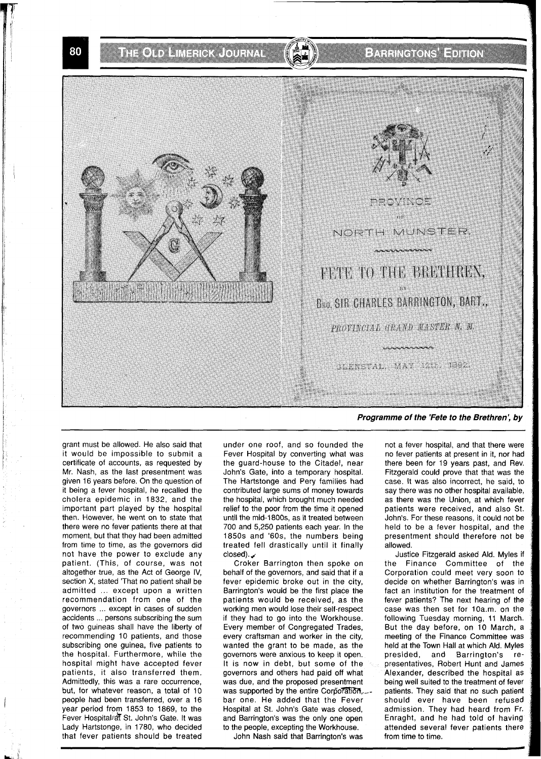**THOMA** MARK OF A

### FAN INGLOSSI EDILLÖ



grant must be allowed. He also said that it would be impossible to submit a certificate of accounts, as requested by Mr. Nash, as the last presentment was given 16 years before. On the question of it being a fever hospital, he recalled the cholera epidemic in 1832, and the important part played by the hospital then. However, he went on to state that there were no fever patients there at that moment, but that they had been admitted from time to time, as the governors did not have the power to exclude any patient. (This, of course, was not altogether true, as the Act of George IV, section X, stated 'That no patient shall be admitted ... except upon a written recommendation from one of the governors ... except in cases of sudden accidents ... persons subscribing the sum of two guineas shall have the liberty of recommending 10 patients, and those subscribing one guinea, five patients to the hospital. Furthermore, while the hospital might have accepted fever patients, it also transferred them. Admittedly, this was a rare occurrence, but, for whatever reason, a total of 10 people had been transferred, over a 16 year period from 1853 to 1869, to the Fever Hospital: at St. John's Gate. It was Lady Hartstonge, in 1780, who decided that fever patients should be treated

under one roof, and so founded the Fever Hospital by converting what was the guard-house to the Citadel, near John's Gate, into a temporary hospital. The Hartstonge and Pery families had contributed large sums of money towards the hospital, which brought much needed relief to the poor from the time it opened until the mid-1 800s, as it treated between 700 and 5,250 patients each year. In the 1850s and '60s, the numbers being treated fell drastically until it finally until the mid-180<br>700 and 5,250 p<br>1850s and '60<br>treated fell dra<br>closed).<br>Croker Barr

Croker Barrington then spoke on behalf of the governors, and said that if a fever epidemic broke out in the city, Barrington's would be the first place the patients would be received, as the working men would lose their self-respect if they had to go into the Workhouse. Every member of Congregated Trades, every craftsman and worker in the city, wanted the grant to be made, as the governors were anxious to keep it open. It is now in debt, but some of the governors and others had paid off what was due, and the proposed presentment was supported by the entire Corporation, patients. They said that no such patient bar one. He added that the Fever should ever have been refused Hospital at St. John's Gate was closed, admission. They had heard from Fr. and Barrington's was the only one open Enraght, and he had told of having to the people, excepting the Workhouse. attended several fever patients there

John Nash said that Barrington's was from time to time.

not a fever hospital, and that there were no fever patients at present in it, nor had there been for 19 years past, and Rev. Fitzgerald could prove that that was the case. It was also incorrect, he said, to say there was no other hospital available, as there was the Union, at which fever patients were received, and also St. John's. For these reasons, it could not be held to be a fever hospital, and the presentment should therefore not be allowed.

Justice Fitzgerald asked Ald. Myles if the Finance Committee of the Corporation could meet very soon to decide on whether Barrington's was in fact an institution for the treatment of fever patients? The next hearing of the case was then set for 10a.m. on the following Tuesday morning, 11 March. But the day before, on 10 March, a meeting of the Finance Committee was held at the Town Hall at which Ald. Myles<br>presided, and Barrington's reand Barrington's representatives, Robert Hunt and James Alexander, described the hospital as being well suited to the treatment of fever should ever have been refused

80